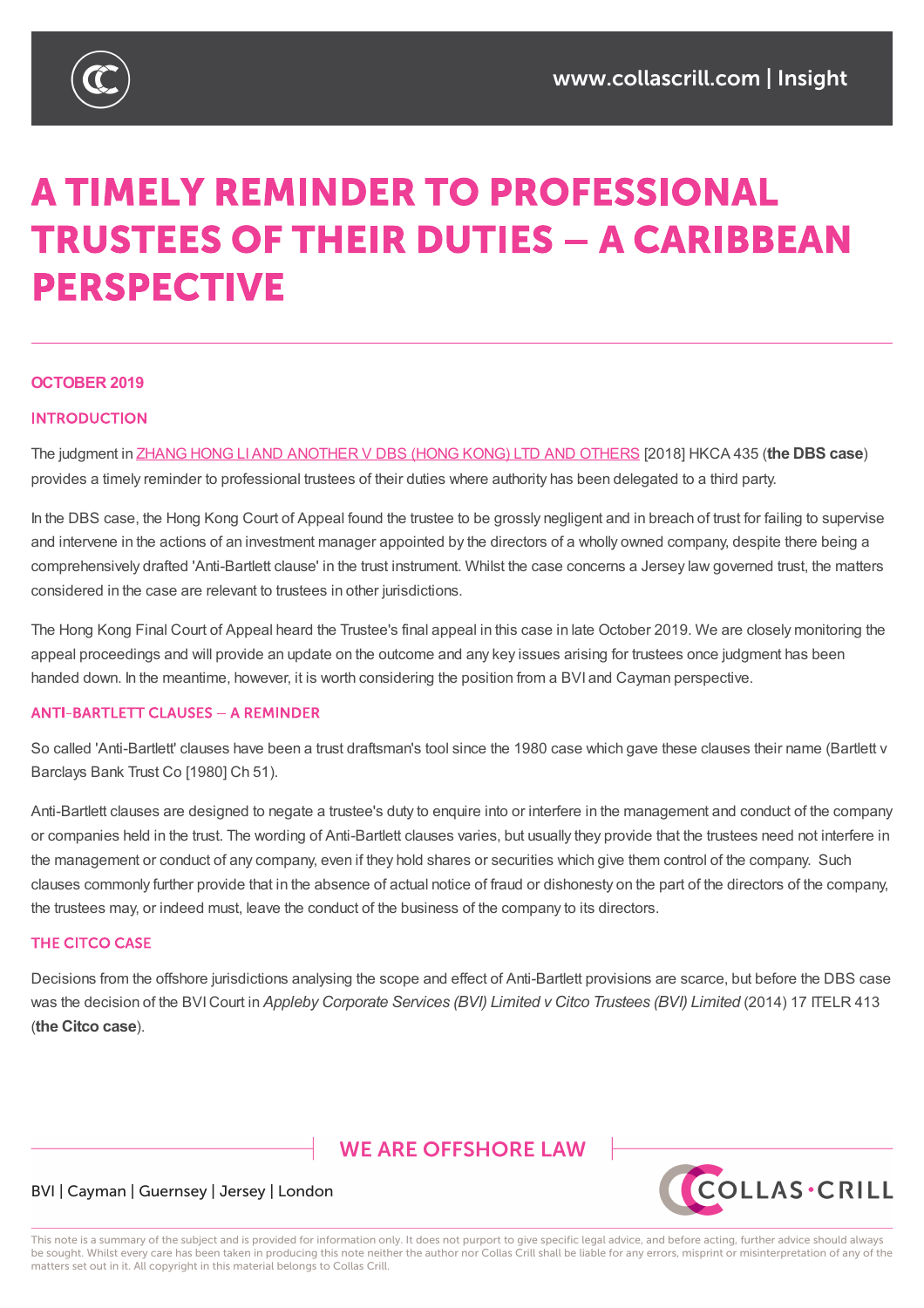

# **A TIMELY REMINDER TO PROFESSIONAL TRUSTEES OF THEIR DUTIES - A CARIBBEAN PERSPECTIVE**

#### **OCTOBER 2019**

#### **INTRODUCTION**

The judgment in ZHANG HONG LIAND ANOTHER V DBS (HONG KONG) LTD AND OTHERS [2018] HKCA 435 (**the DBS case**) provides a timely reminder to professional trustees of their duties where authority has been delegated to a third party.

In the DBS case, the Hong Kong Court of Appeal found the trustee to be grossly negligent and in breach of trust for failing to supervise and intervene in the actions of an [investment](https://legalref.judiciary.hk/lrs/common/search/search_result_detail_frame.jsp?DIS=116573&QS=%28%7Bdbs%7D+%25parties%29&TP=JU) manager appointed by the directors of a wholly owned company, despite there being a comprehensively drafted 'Anti-Bartlett clause' in the trust instrument. Whilst the case concerns a Jersey law governed trust, the matters considered in the case are relevant to trustees in other jurisdictions.

The Hong Kong Final Court of Appeal heard the Trustee's final appeal in this case in late October 2019. We are closely monitoring the appeal proceedings and will provide an update on the outcome and any key issues arising for trustees once judgment has been handed down. In the meantime, however, it is worth considering the position from a BVI and Cayman perspective.

#### **ANTI-BARTLETT CLAUSES - A REMINDER**

So called 'Anti-Bartlett' clauses have been a trust draftsman's tool since the 1980 case which gave these clauses their name (Bartlett v Barclays Bank Trust Co [1980] Ch 51).

Anti-Bartlett clauses are designed to negate a trustee's duty to enquire into or interfere in the management and conduct of the company or companies held in the trust. The wording of Anti-Bartlett clauses varies, but usually they provide that the trustees need not interfere in the management or conduct of any company, even if they hold shares or securities which give them control of the company. Such clauses commonly further provide that in the absence of actual notice of fraud or dishonesty on the part of the directors of the company, the trustees may, or indeed must, leave the conduct of the business of the company to its directors.

#### **THE CITCO CASE**

Decisions from the offshore jurisdictions analysing the scope and effect of Anti-Bartlett provisions are scarce, but before the DBS case was the decision of the BVICourt in *Appleby Corporate Services (BVI) Limited v Citco Trustees (BVI) Limited* (2014) 17 ITELR 413 (**the Citco case**).

## **WE ARE OFFSHORE LAW**



#### BVI | Cayman | Guernsey | Jersey | London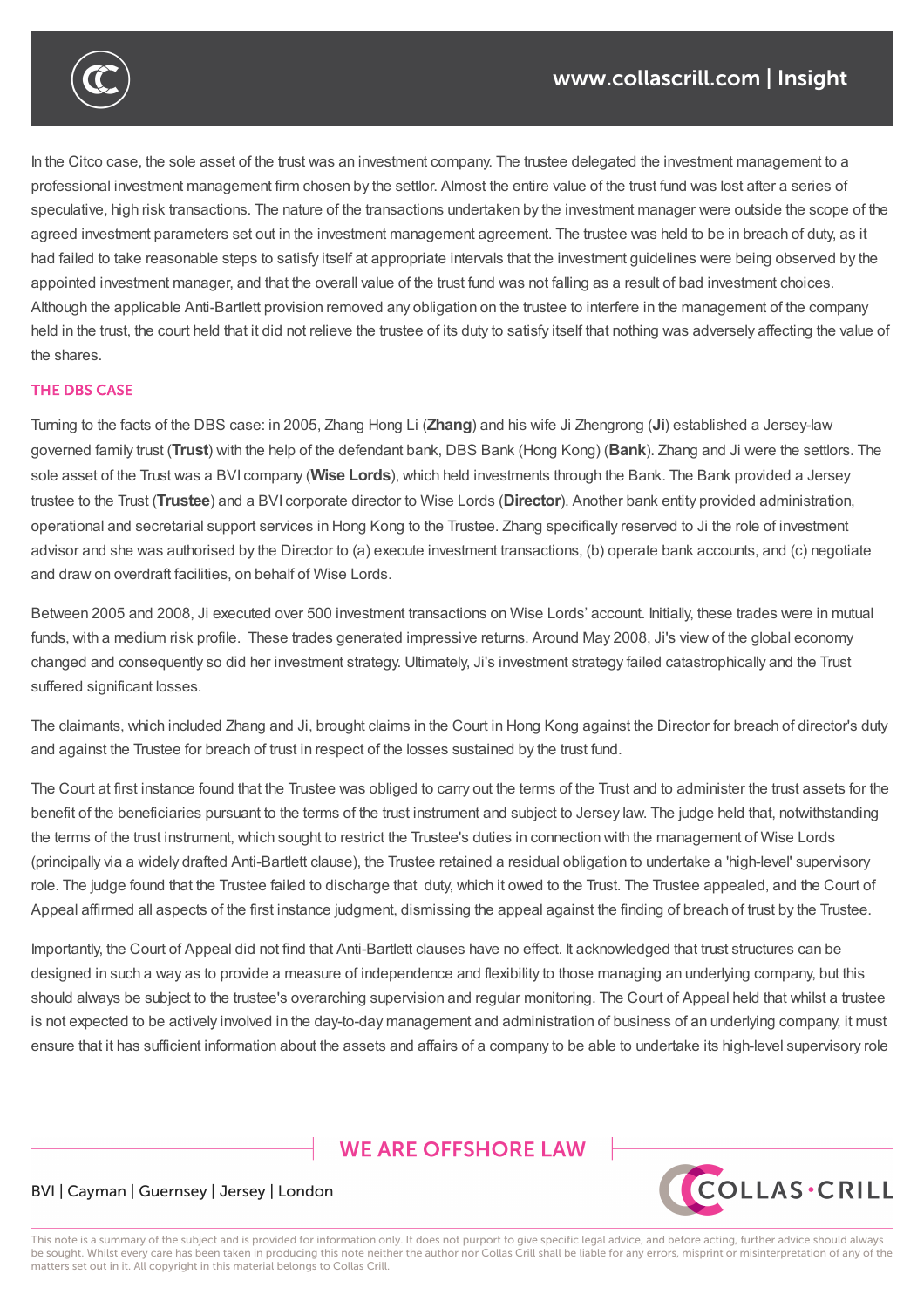

In the Citco case, the sole asset of the trust was an investment company. The trustee delegated the investment management to a professional investment management firm chosen by the settlor. Almost the entire value of the trust fund was lost after a series of speculative, high risk transactions. The nature of the transactions undertaken by the investment manager were outside the scope of the agreed investment parameters set out in the investment management agreement. The trustee was held to be in breach of duty, as it had failed to take reasonable steps to satisfy itself at appropriate intervals that the investment guidelines were being observed by the appointed investment manager, and that the overall value of the trust fund was not falling as a result of bad investment choices. Although the applicable Anti-Bartlett provision removed any obligation on the trustee to interfere in the management of the company held in the trust, the court held that it did not relieve the trustee of its duty to satisfy itself that nothing was adversely affecting the value of the shares.

### **THE DRS CASE**

Turning to the facts of the DBS case: in 2005, Zhang Hong Li (**Zhang**) and his wife Ji Zhengrong (**Ji**) established a Jersey-law governed family trust (**Trust**) with the help of the defendant bank, DBS Bank (Hong Kong) (**Bank**). Zhang and Ji were the settlors. The sole asset of the Trust was a BVI company (**Wise Lords**), which held investments through the Bank. The Bank provided a Jersey trustee to the Trust (**Trustee**) and a BVI corporate director to Wise Lords (**Director**). Another bank entity provided administration, operational and secretarial support services in Hong Kong to the Trustee. Zhang specifically reserved to Ji the role of investment advisor and she was authorised by the Director to (a) execute investment transactions, (b) operate bank accounts, and (c) negotiate and draw on overdraft facilities, on behalf of Wise Lords.

Between 2005 and 2008, Ji executed over 500 investment transactions on Wise Lords' account. Initially, these trades were in mutual funds, with a medium risk profile. These trades generated impressive returns. Around May 2008, Ji's view of the global economy changed and consequently so did her investment strategy. Ultimately, Ji's investment strategy failed catastrophically and the Trust suffered significant losses.

The claimants, which included Zhang and Ji, brought claims in the Court in Hong Kong against the Director for breach of director's duty and against the Trustee for breach of trust in respect of the losses sustained by the trust fund.

The Court at first instance found that the Trustee was obliged to carry out the terms of the Trust and to administer the trust assets for the benefit of the beneficiaries pursuant to the terms of the trust instrument and subject to Jersey law. The judge held that, notwithstanding the terms of the trust instrument, which sought to restrict the Trustee's duties in connection with the management of Wise Lords (principally via a widely drafted Anti-Bartlett clause), the Trustee retained a residual obligation to undertake a 'high-level' supervisory role. The judge found that the Trustee failed to discharge that duty, which it owed to the Trust. The Trustee appealed, and the Court of Appeal affirmed all aspects of the first instance judgment, dismissing the appeal against the finding of breach of trust by the Trustee.

Importantly, the Court of Appeal did not find that Anti-Bartlett clauses have no effect. It acknowledged that trust structures can be designed in such a way as to provide a measure of independence and flexibility to those managing an underlying company, but this should always be subject to the trustee's overarching supervision and regular monitoring. The Court of Appeal held that whilst a trustee is not expected to be actively involved in the day-to-day management and administration of business of an underlying company, it must ensure that it has sufficient information about the assets and affairs of a company to be able to undertake its high-level supervisory role

## **WE ARE OFFSHORE LAW**



#### BVI | Cayman | Guernsey | Jersey | London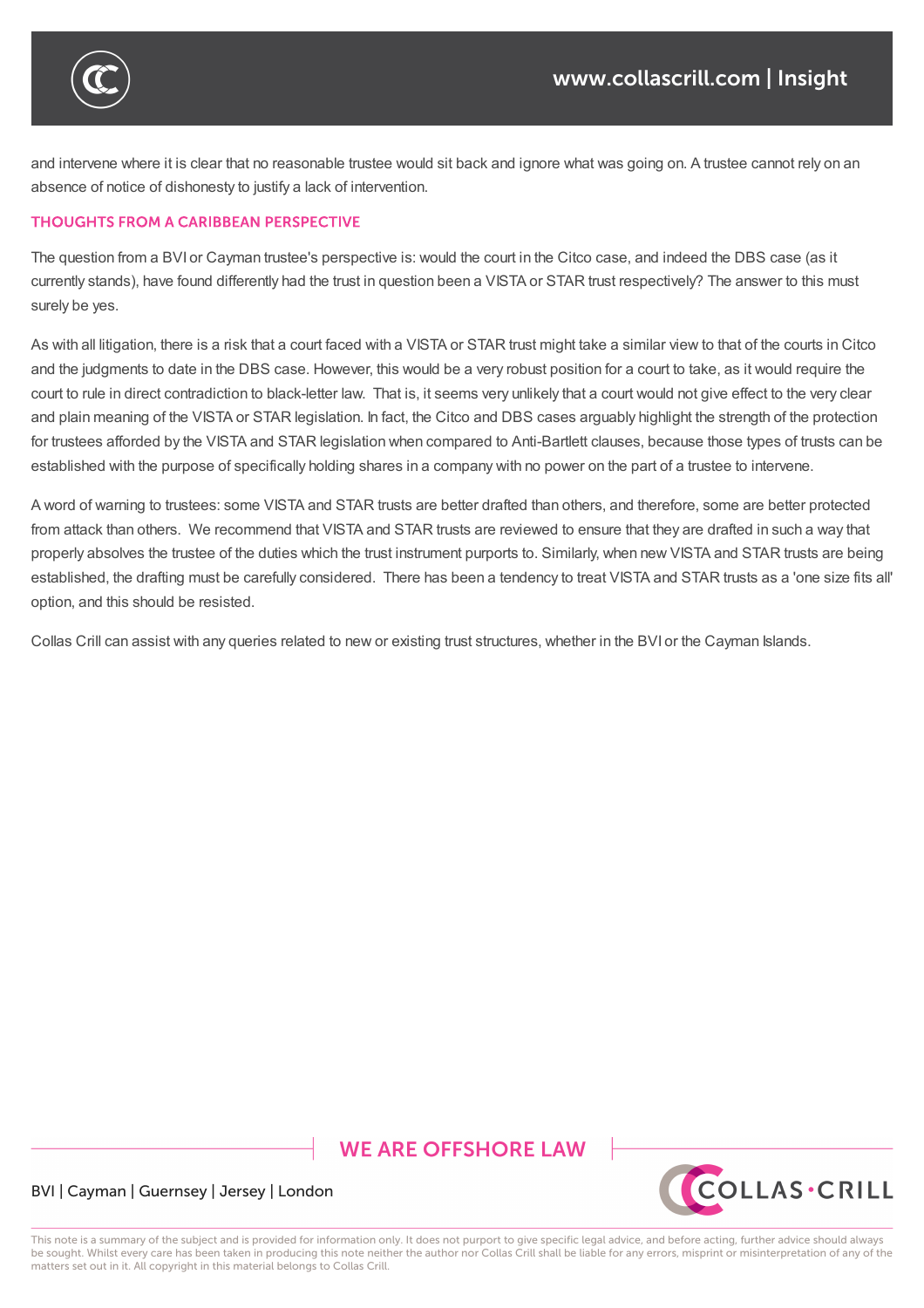

and intervene where it is clear that no reasonable trustee would sit back and ignore what was going on. A trustee cannot rely on an absence of notice of dishonesty to justify a lack of intervention.

is not expected to be actively involved in the day-to-day-to-day-to-day-to-day-to-day-to-day-to-day-to-day-to-

Importantly, the Court of Appeal did not find that Anti-Bartlett clauses have no effect. It acknowledged that trust structures  $\alpha$ 

#### **THOUGHTS FROM A CARIBBEAN PERSPECTIVE**

The question from a BVI or Cayman trustee's perspective is: would the court in the Citco case, and indeed the DBS case (as it currently stands), have found differently had the trust in question been a VISTA or STAR trust respectively? The answer to this must surely be yes.

As with all litigation, there is a risk that a court faced with a VISTA or STAR trust might take a similar view to that of the courts in Citco and the judgments to date in the DBS case. However, this would be a very robust position for a court to take, as it would require the court to rule in direct contradiction to black-letter law. That is, it seems very unlikely that a court would not give effect to the very clear and plain meaning of the VISTA or STAR legislation. In fact, the Citco and DBS cases arguably highlight the strength of the protection for trustees afforded by the VISTA and STAR legislation when compared to Anti-Bartlett clauses, because those types of trusts can be established with the purpose of specifically holding shares in a company with no power on the part of a trustee to intervene.

A word of warning to trustees: some VISTA and STAR trusts are better drafted than others, and therefore, some are better protected from attack than others. We recommend that VISTA and STAR trusts are reviewed to ensure that they are drafted in such a way that properly absolves the trustee of the duties which the trust instrument purports to. Similarly, when new VISTA and STAR trusts are being established, the drafting must be carefully considered. There has been a tendency to treat VISTA and STAR trusts as a 'one size fits all' option, and this should be resisted.

Collas Crill can assist with any queries related to new or existing trust structures, whether in the BVI or the Cayman Islands.

## **WE ARE OFFSHORE LAW**



#### BVI | Cayman | Guernsey | Jersey | London